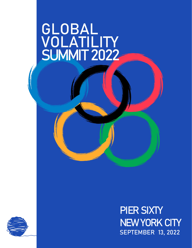# GLOBAL<br>VOLATILITY<br>SUMMIT 2022

PIER SIXTY NEW YORK CITY SEPTEMBER 13, 2022

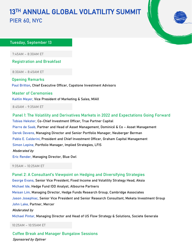# 13TH ANNUAL GLOBAL VOLATILITY SUMMIT PIER 60, NYC

## Tuesday, September 13

7:45AM – 8:30AM ET

Registration and Breakfast

8:30AM – 8:45AM ET

Opening Remarks Paul Britton, Chief Executive Officer, Capstone Investment Advisors

#### Master of Ceremonies

Kaitlin Meyer, Vice President of Marketing & Sales, MIAX

8:45AM - 9:35AM ET

Panel 1: The Volatility and Derivatives Markets in 2022 and Expectations Going Forward Tobias Hekster, Co-Chief Investment Officer, True Partner Capital Pierre de Saab, Partner and Head of Asset Management, Dominicé & Co – Asset Management Derek Devens, Managing Director and Senior Portfolio Manager, Neuberger Berman Pablo E. Calderini, President and Chief Investment Officer, Graham Capital Management Simon Lepine, Portfolio Manager, Implied Strategies, LFIS Moderated by Eric Render, Managing Director, Blue Owl

9:35AM – 10:25AM ET

George Evans, Senior Vice President, Fixed Income and Volatility Strategy Head, Aksia Panel 2: A Consultant's Viewpoint on Hedging and Diversifying Strategies Michael Ide, Hedge Fund IDD Analyst, Albourne Partners Meisan Lim, Managing Director, Hedge Funds Research Group, Cambridge Associates Jason Josephiac, Senior Vice President and Senior Research Consultant, Meketa Investment Group John Lake, Partner, Mercer Moderated by

Michael Pintar, Managing Director and Head of US Flow Strategy & Solutions, Societe Generale

10:25AM – 10:55AM ET

Coffee Break and Manager Bungalow Sessions Sponsored by Optiver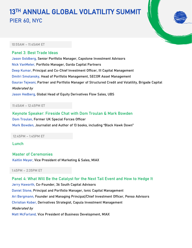# 13TH ANNUAL GLOBAL VOLATILITY SUMMIT PIER 60, NYC



#### 10:55AM - 11:45AM ET

Panel 3: Best Trade Ideas Jason Goldberg, Senior Portfolio Manager, Capstone Investment Advisors Nick VanMeter, Portfolio Manager, Garda Capital Partners Deep Kumar, Principal and Co-Chief Investment Officer, III Capital Management Dmitri Smolansky, Head of Portfolio Management, SECOR Asset Management Gaurav Tejwani, Partner and Portfolio Manager of Structured Credit and Volatility, Brigade Capital Moderated by Jason Hedberg, Global Head of Equity Derivatives Flow Sales, UBS

#### 11:45AM – 12:45PM ET

# Keynote Speaker: Fireside Chat with Dom Troulan & Mark Bowden

Dom Troulan, Former UK Special Forces Officer Mark Bowden, Journalist and Author of 13 books, including "Black Hawk Down"

12:45PM – 1:45PM ET

Lunch

# Master of Ceremonies Kaitlin Meyer, Vice President of Marketing & Sales, MIAX

1:45PM – 2:35PM ET

Panel 4: What Will Be the Catalyst for the Next Tail Event and How to Hedge It Jerry Haworth, Co-Founder, 36 South Capital Advisors Daniel Stone, Principal and Portfolio Manager, Ionic Capital Management Ari Bergmann, Founder and Managing Principal/Chief Investment Officer, Penso Advisors Christian Kober, Derivatives Strategist, Capula Investment Management Moderated by

Matt McFarland, Vice President of Business Development, MIAX